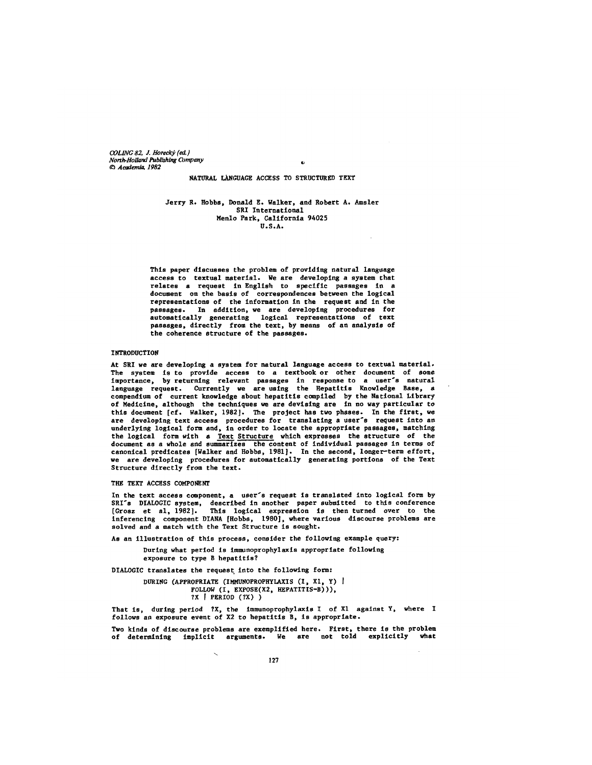*COLING 82, J. Horeck~ {eft.) North.Holland Publishing Company Cc~ Academt~ 1982* 

NATURAL LANGUAGE ACCESS TO STRUCTURED TEXT

Jerry R. Robbs, Donald E. Walker, and Robert A. Amsler SRI International Menlo Park, Callfornla 94025 U.S.A.

This paper discusses the problem of providing natural language access to textual material. We are developing a system that relates a request in English to specific passages in a document on the basis of correspondences between the logical representations of the information in the request and in the passages. In addition, we are developing procedures for automatically generating logical representations of text passages, directly from the text, by means of an analysis of the coherence structure of the passages.

## INTRODUCTION

At SRI we are developing a system for natural language access to textual material, The system is to provide access to a textbook or other document of some importance, by returning relevant passages in response to a user's natural language request. Currently we are using the Hepatitis Knowledge Base, a compendium of current knowledge about hepatitis compiled by the National Library of Medicine, although the techniques we are devising are in no way particular to this document [cf. Walker, 1982]. The project has two phases. In the first, we are developing text access procedures for translating a user's request into an underlying logical form and, in order to locate the appropriate passages, matching the logical form with a Text Structure which expresses the structure of the document as a whole and summarizes the content of individual passages in terms of canonical predicates (Walker and Hobbs, 1981]. In the second, longer-term effort, we are developing procedures for automatically generating portions of the Text Structure directly from the text.

#### THE TEXT ACCESS COMPONENT

In the text access component, a user's request is translated into logical form by SRI's DIALOGIC system, described in another paper submitted to this conference [Grosz et al, 1982]. This logical expression is then turned over to the lnferencing component DIANA [Hobbs, 1980], where various discourse problems are solved and a match with the Text Structure is sought.

As an illustration of this process, consider the following example query:

During what period is immunoprophylaxis appropriate following exposure to type B hepatitis?

DIALOGIC translates the request into the following form:

DURING (APPROPRIATE (IMMUNOPROPHYLAXIS (I, Xl, Y) I FOLLOW (I, EXPOSE(X2, HEPATITIS-B))), ?X [ PERIOD (?X))

That is, during period ?X, the immunoprophylaxis I of X1 against Y, where I follows an exposure event of X2 to hepatitis B, is appropriate.

Two kinds of discourse problems are exemplified here. First, there is the problem of determining implicit arguments. We are not told explicitly what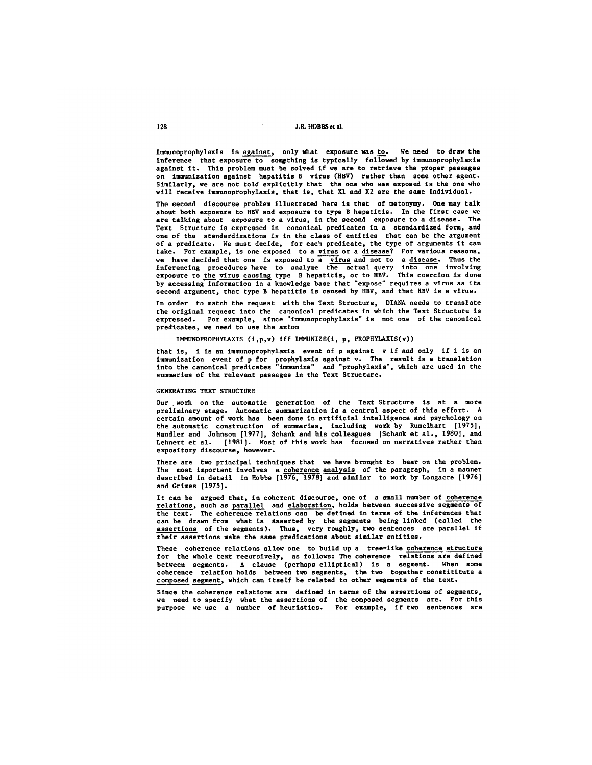immunoprophylaxis is against, only what exposure was to. We need to draw the inference that exposure to something is typically followed by immunoprophylaxis against it. This problem must be solved if we are to retrieve the proper passages on immunization against hepatitis B virus (HBV) rather than some other agent. Similarly, we are not told expllcltly that the one who was exposed is the one who will receive immuooprophylaxls, that is, that X1 and X2 are the same Indlvldual.

The second discourse problem illustrated here is that of metonymy. One may talk about both exposure to HBV and exposure to type B hepatitis. In the first case we are talking about exposure to a virus, in the second exposure to a disease. The Text Structure is expressed in canonical predicates in a standardized form, and one of the standardizations is in the class of entities that can be the argument of a predicate. We must decide, for each predicate, the type of arguments it can take. For example, is one exposed to a virus or a disease? For various reasons, we have decided that one is exposed to a virus and not to a disease. Thus the inferencing procedures\_have to analyze the actual\_query\_into one involving exposure to the virus causing type B hepatitis, or to HBV. This coercion is done by accessing information in a knowledge base that "expose" requires a virus as its second argument, that type B hepatitis is caused by HBV, and that HBV is a virus.

In order to match the request with the Text Structure, DIANA needs to translate the original request into the canonical predicates in which the Text Structure is expressed. For example, since "immunoprophylaxis" is not one of the canonical predicates, we need to use the axiom

IMMUNOPROPHYLAXIS  $(i, p, v)$  iff IMMUNIZE $(i, p,$  PROPHYLAXIS $(v)$ )

that is, i is an immunoprophylaxis event of p against v if and only if I is an immunization event of p for prophylaxis against v. The result is a translation into the canonical predicates "immunize" and "prophylaxis", which are used in the summaries of the relevant passages in the Text Structure.

## GENERATING TEXT STRUCTURE

Our work on the automatic generation of the Text Structure is at a more preliminary stage. Automatic summarization is a central aspect of this effort. A certain amount of work has been done in artlflclal intelllgence and psychology on the automatic construction of summaries, including work by Rumelhart [1975], Mandler and Johnson [1977], Schank and his colleagues [Schank et al., 1980], and Lehnert et al. [1981]. Host of this work has focused on narratives rather than expository discourse, however.

There are two prlnclpal techniques that we have brought to bear on the problem. The most important involves a coherence analysis of the paragraph, in a manner described in detail in Hobbs [1976, 1978] and similar to work by Longacre [1976] and Grimes [1975].

It can be argued that, in coherent discourse, one of a small number of coherence relations, such as parallel and elaboration, holds between successive segments of the text. The coherence relations can be defined in terms of the inferences that can be drawn from what is asserted by the segments being linked (called the assertions of the segments). Thus, very roughly, two sentences are parallel if their assertions make the same predications about similar entities.

These coherence relations allow one to build up a tree-like coherence structure for the whole text recurslvely, as follows: The coherence relations are defined between segments. A clause (perhaps elliptlcal) is a segment. When some coherence relation holds between two segments, the two together constitltute a composed segment, which can itself be related to other segments of the text.

Since the coherence relations are defined in terms of the assertions of segments, we need to specify what the assertions of the composed segments are. For this purpose we use a number of heurlstlcs. For example, if two sentences are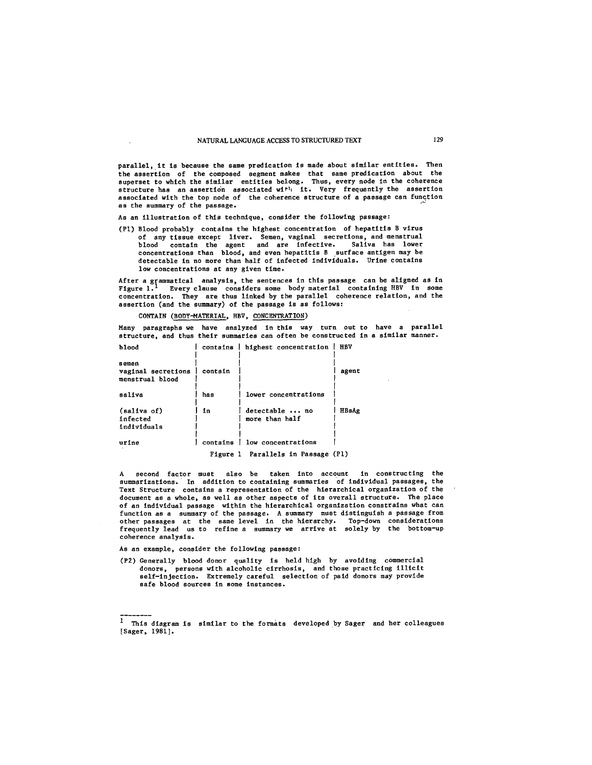parallel, lt is because the same predication is made about similar entities. Then the assertion of the composed segment makes *that* same predication about the superset to which the similar entities belong. Thus, every node in the coherence structure has an assertion associated with it. Very frequently the assertion associated with the top node of the coherence structure of a passage can function as the summary of the passage.

As an *illustration* of this technique, consider the following passage:

(PI) Blood probably contains the highest *concentration* of hepatitis B virus of any tissue except liver. Semen, vaginal secretions, and menstrual blood contain the agent and are infective. Saliva has lower *concentrations* than blood, and even hepatitis B surface antigen may be detectable in no more *than* half of infected individuals. Urine contains low concentrations at any given *time.* 

After a grammatical analysis, the sentences in this passage can be aligned as in Figure 1.<sup>1</sup> Every clause considers some body material containing HBV in some concentration. They are thus linked by the parallel coherence relation, and the assertion (and the summary) of the passage is as follows:

# CONTAIN (BODY-MATERIAL, HBV, CONCENTRATION)

Many paragraphs we have analyzed in this way turn out to have a parallel structure, and thus their summaries can often be constructed in a similar manner. blood contains highest concentration HBV

| semen<br>vaginal secretions<br>menstrual blood | contain  |                                  | agent |
|------------------------------------------------|----------|----------------------------------|-------|
| saliva                                         | has      | lower concentrations             |       |
| (saliva of)<br>infected<br>individuals         | in       | detectable  no<br>more than half | HBsAg |
| urine                                          | contains | low concentrations               |       |
| Figure 1 Parallels in Passage (P1)             |          |                                  |       |

A second factor must also be taken into account in constructing the summarlzations. In addition to containing summaries of individual passages, the Text *Structure* contains a representation of the hierarchical organization of the *document* as a whole, as well as other *aspects* of its overall *structure.* The place of an individual passage within the hierarchical organization constrains what can function as a summary of the passage. A summary *must* distinguish a passage from other passages at *the* same level in the hierarchy. Top-down considerations frequently lead us to refine a Summary we arrive at solely by the bottom-up coherence analysis.

As an example, consider the following passage:

(P2) Generally blood donor quality is held high by avoiding commerclal donors, persons with alcoholic cirrhosis, and those practicing illicit self-injection. Extremely careful selection of paid donors may provide safe blood sources in some instances.

<sup>1</sup> This diagram is similar to the formats developed by Sager and her colleagues [Sager, 1981].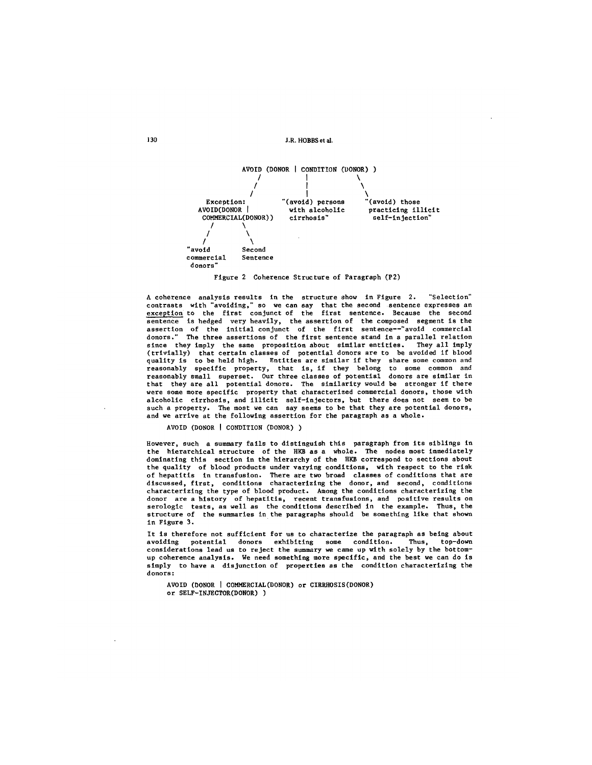130 **J.R. HOBBS et al.** 



Figure 2 Coherence Structure of Paragraph (P2)

A coherence analysis results in the structure show in Figure 2. "Selection" contrasts with "avoiding," so we can say that the second sentence expresses an exception to the first conjunct of the first sentence. Because the second sentence is hedged very heavily, the assertion of the composed segment is the assertion of the initial conjunct of the first sentence--"avoid commercial donors." The three assertions of the first sentence stand in a parallel relation since they imply the same proposition about similar entities. They all imply (trivially) that certain classes of potential donors are to be avoided if blood<br>quality is to be held high. Entities are similar if they share some common and reasonably specific property, that is, if they belong to some common and reasonably small superset. Our three classes of potential donors are similar in that they are all potential donors. The similarity would be stronger if there were some more specific property that characterized commercial donors, those with alcoholic cirrhosis, and illicit self-inJectors, but there does not seem to be such a property. The most we can say seems to be that they are potential donors, and we arrive at the following assertion for the paragraph as a whole.

AVOID (DONOR I CONDITION (DONOR))

However, such a summary fails to distinguish this paragraph from its siblings in the hierarchical structure of the HKB as a whole. The nodes most immediately dominating this section in the hierarchy of the HKB correspond to sections about the quality of blood products under varying conditions, with respect to the risk of hepatitis in transfusion. There are two broad classes of conditions that are discussed, first, conditions characterizing the donor, and second, conditions characterizing the type of 51ood product. Among the conditions characterizing the donor are a history of hepatitis, recent transfusions, and positive results on serologic tests, as well as the conditions described in the example. Thus, the structure of the summaries In the paragraphs should be something like that shown in Figure 3.

It is therefore not sufficient for us to characterize the paragraph as being about avoiding potential donors exhibiting some condition. Thus, top-down avoiding potential donors exhibiting some condition. Thus, top-down considerations lead us to reject the summary we came up with solely by the bottomup coherence analysis. We need something more specific, and the best we can do is simply to have a disjunction of properties ss the condition characterizing the donors:

AVOID (DONOR ] COMMERCIAL(DONOR) or CIRRHOSIS(DONOR) or SELF-INJECTOR(DONOR) )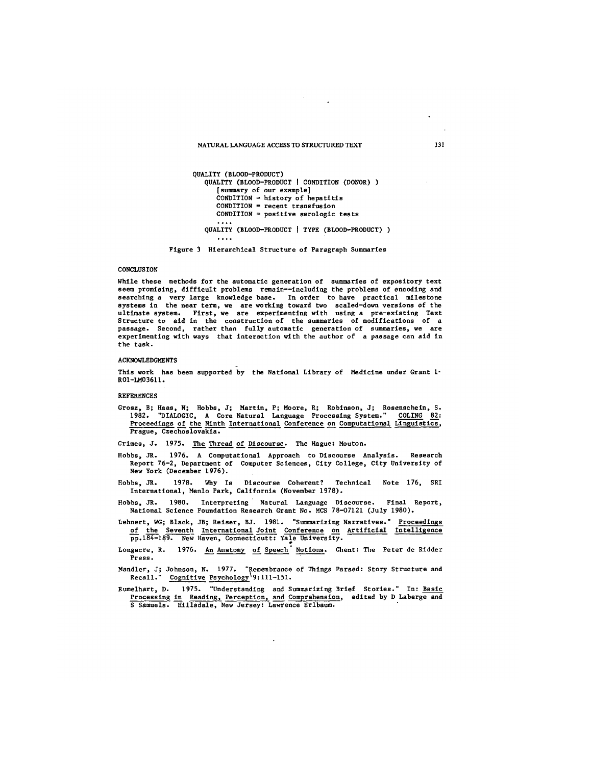# NATURAL LANGUAGE ACCESS TO STRUCTURED TEXT 131

```
QUALITY (BLOOD-PRODUCT) 
QUALITY (BLOOD-PRODUCT I CONDITION (DONOR)) 
   [summary of our example] 
   COMDITION = history of hepatitisCONDITION = recent transfusion
   COMDITION = positive serologic testsQUALITY (BLOOD-PRODUCT | TYPE (BLOOD-PRODUCT) )
   \cdots
```
Figure 3 Hierarchical Structure of Paragraph Summaries

# **CONCLUSTON**

While these methods for the automatic generation of summaries of expository text seem promising, difficult problems remain--Including the problems of encoding and searching a very large knowledge base. In order to have practical milestone systems in the near term, we are working toward two scaled-down versions of the ultlmate system. First, we are experimenting with using a pre-existing Text Structure to aid in the construction of the summaries of modifications of a passage. Second, rather than fully automatic generation of summaries, we are experimenting with ways that interaction with the author of a passage can aid in the task.

## ACKNOWLEDGMENTS

This work has been supported by the National Library of Medicine under Grant I-R01-LM03611.

REFERENCES

Grosz, B; Haas, N; Robbs, J; Martin, P; Moore, R; Robinson, J; Rosenseheln, S. 1982. "DIALOGIC, A Core Natural Language Processing System." COLING 82: Proceedings of the Ninth International Conference on Computational Linguistics, Prague, Czechoslovakia.

Grimes, J. 1975. The Thread of Discourse. The Hague: Houton.

- Robbs, JR. 1976. A Computational Approach to Discourse Analysis. Research Report 76-2, Department of Computer Sciences, City College, City University of New York (December 1976).
- Hobbs, JR. 1978. Why Is Discourse Coherent? Technical Note 176, SRI International, Menlo Park, Callfornia (November 1978).
- Hobbs, JR. 1980. Interpreting " Natural Language Discourse. Final Report, National Science Foundation Research Grant No. MCS 78-07121 (July 1980).
- Lehnert, WG; Black, JB; Reiser, BJ. 1981. "Summarizing Narratives." Proceedings of the Seventh InternationalJoint Conference on Artificial I<u>ntelligenc</u>e pp.184-189. New Haven, Connecticutt: Yale University.
- Longacre, R. 1976. An Anatomy of Speech Notions. Ghent: The Peter de Ridder Press.
- Mandler, J; Johnson, N. 1977. "Remembrance of Things Parsed: Story Structure and Recall." Cognitive Psycholo~y'9:l11-151.
- Rumelhart, D. 1975. "Understanding and Summarizing Brief Stories." In: Basic Processing in Reading, Perception, and Comprehension, edited by D Laberge and S Samuels. Hillsdale, New Jersey: Lawrence Erlbaum.